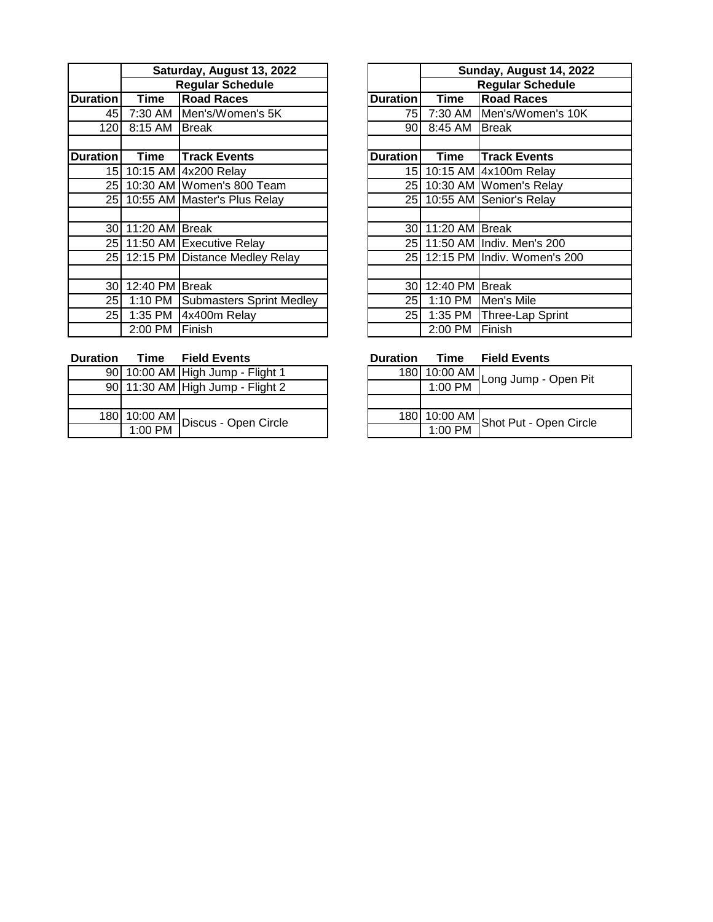|                 | Saturday, August 13, 2022 |                                 |                 |                | Sunday, August 14, 20        |
|-----------------|---------------------------|---------------------------------|-----------------|----------------|------------------------------|
|                 | <b>Regular Schedule</b>   |                                 |                 |                | <b>Regular Schedule</b>      |
| <b>Duration</b> | Time                      | <b>Road Races</b>               | <b>Duration</b> | <b>Time</b>    | <b>Road Races</b>            |
| 45              | 7:30 AM                   | Men's/Women's 5K                | 75              | 7:30 AM        | Men's/Women's 10             |
| 120             | 8:15 AM                   | <b>Break</b>                    | 90I             | 8:45 AM        | <b>Break</b>                 |
| <b>Duration</b> | Time                      | <b>Track Events</b>             | <b>Duration</b> | Time           | <b>Track Events</b>          |
| 15I             |                           | 10:15 AM 4x200 Relay            |                 |                | 15 10:15 AM 4x100m Relay     |
|                 |                           | 25 10:30 AM Women's 800 Team    |                 |                | 25 10:30 AM Women's Relay    |
| 25 I            |                           | 10:55 AM Master's Plus Relay    |                 |                | 25 10:55 AM Senior's Relay   |
|                 |                           |                                 |                 |                |                              |
| 30 <sup>l</sup> | 11:20 AM Break            |                                 | 30 <sup>l</sup> | 11:20 AM Break |                              |
| 25              |                           | 11:50 AM Executive Relay        |                 |                | 25 11:50 AM Indiv. Men's 200 |
| 25              |                           | 12:15 PM Distance Medley Relay  | 25              |                | 12:15 PM Indiv. Women's 200  |
|                 |                           |                                 |                 |                |                              |
| 30I             | 12:40 PM Break            |                                 | 30I             | 12:40 PM       | Break                        |
| 25              | 1:10 PM                   | <b>Submasters Sprint Medley</b> | 25 <sub>l</sub> | 1:10 PM        | Men's Mile                   |
| 25I             | 1:35 PM                   | 4x400m Relay                    | 25 I            | 1:35 PM        | Three-Lap Sprint             |
|                 | 2:00 PM                   | Finish                          |                 | 2:00 PM        | Finish                       |

|                 |                         | Saturday, August 13, 2022           |                 |                | Sunday, August 14, 2022     |
|-----------------|-------------------------|-------------------------------------|-----------------|----------------|-----------------------------|
|                 | <b>Regular Schedule</b> |                                     |                 |                | <b>Regular Schedule</b>     |
| onl             | Time                    | <b>Road Races</b>                   | <b>Duration</b> | <b>Time</b>    | <b>Road Races</b>           |
| 45              |                         | 7:30 AM Men's/Women's 5K            | 75              | 7:30 AM        | Men's/Women's 10K           |
| $20 \mid$       | 8:15 AM                 | <b>Break</b>                        | 90              | 8:45 AM        | Break                       |
|                 |                         |                                     |                 |                |                             |
| on              | Time                    | <b>Track Events</b>                 | <b>Duration</b> | Time           | <b>Track Events</b>         |
|                 |                         | 15 10:15 AM 4x200 Relay             | 15              |                | 10:15 AM 4x100m Relay       |
|                 |                         | 25 10:30 AM Women's 800 Team        | 25              |                | 10:30 AM Women's Relay      |
|                 |                         | 25 10:55 AM Master's Plus Relay     | 25              |                | 10:55 AM Senior's Relay     |
|                 |                         |                                     |                 |                |                             |
|                 | 30 11:20 AM Break       |                                     | 30 <sup>°</sup> | 11:20 AM Break |                             |
|                 |                         | 25 11:50 AM Executive Relay         | 25              |                | 11:50 AM Indiv. Men's 200   |
|                 |                         | 25 12:15 PM Distance Medley Relay   | 25              |                | 12:15 PM Indiv. Women's 200 |
|                 |                         |                                     |                 |                |                             |
| 30 <sup>1</sup> | 12:40 PM Break          |                                     | 30              | 12:40 PM Break |                             |
|                 |                         | 25 1:10 PM Submasters Sprint Medley | 25              |                | 1:10 PM Men's Mile          |
|                 | 25 1:35 PM              | 4x400m Relay                        | 25              |                | 1:35 PM Three-Lap Sprint    |
|                 | 2:00 PM                 | Finish                              |                 | 2:00 PM        | Finish                      |

| <b>Duration</b> |           | <b>Time</b> Field Events          | <b>Duration</b> | Time         | <b>Field Events</b>                       |
|-----------------|-----------|-----------------------------------|-----------------|--------------|-------------------------------------------|
|                 |           | 90 10:00 AM High Jump - Flight 1  |                 | 180 10:00 AM | 4Long Jump - 0                            |
|                 |           | 90 11:30 AM High Jump - Flight 2  |                 | $1:00$ PM    |                                           |
|                 |           |                                   |                 |              |                                           |
|                 |           | 180 10:00 AM Discus - Open Circle |                 |              | $\frac{180}{100}$ 10:00 AM Shot Put - Ope |
|                 | $1:00$ PM |                                   |                 | $1:00$ PM    |                                           |

| 10:00 AM High Jump - Flight 1                                  |  | 180 10:00 AM | Long Jump - Open Pit                |
|----------------------------------------------------------------|--|--------------|-------------------------------------|
| 11:30 AM High Jump - Flight 2                                  |  | $1:00$ PM    |                                     |
|                                                                |  |              |                                     |
| $\frac{10:00 \text{ AM}}{100 \text{ Pa}}$ Discus - Open Circle |  |              | 180 10:00 AM Shot Put - Open Circle |
| 1:00 PM                                                        |  | $1:00$ PM    |                                     |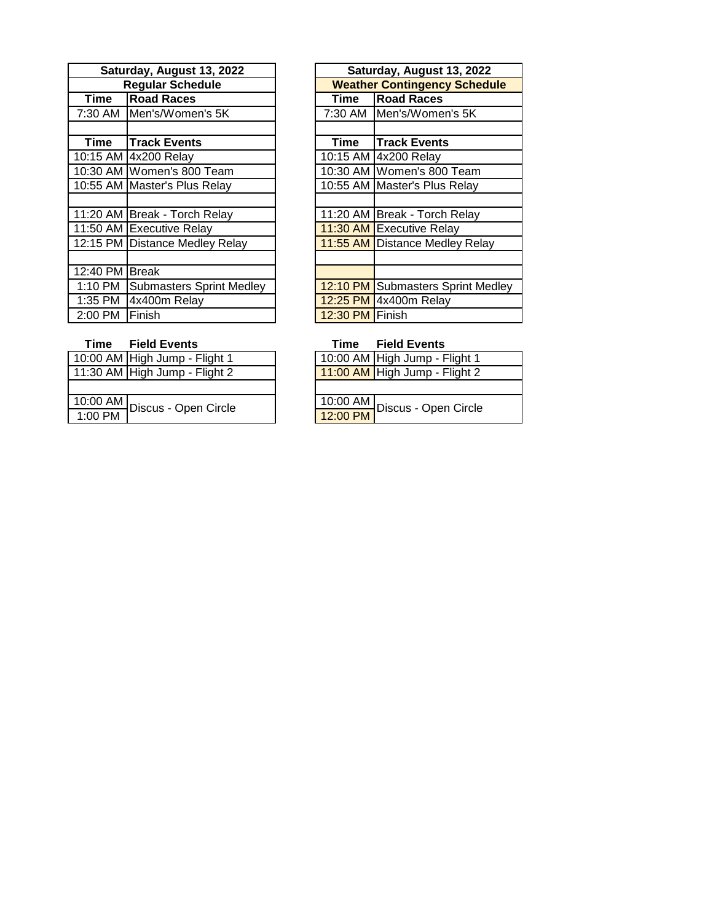|                | Saturday, August 13, 2022       | Saturday, August 13, 2022 |                                   |
|----------------|---------------------------------|---------------------------|-----------------------------------|
|                | <b>Regular Schedule</b>         |                           | <b>Weather Contingency Schedu</b> |
| Time           | <b>Road Races</b>               | Time                      | <b>Road Races</b>                 |
|                | 7:30 AM Men's/Women's 5K        | 7:30 AM                   | Men's/Women's 5K                  |
|                |                                 |                           |                                   |
| Time           | <b>Track Events</b>             | Time                      | <b>Track Events</b>               |
|                | 10:15 AM 4x200 Relay            |                           | 10:15 AM 4x200 Relay              |
|                | 10:30 AM Women's 800 Team       |                           | 10:30 AM Women's 800 Team         |
|                | 10:55 AM Master's Plus Relay    |                           | 10:55 AM Master's Plus Relay      |
|                |                                 |                           |                                   |
|                | 11:20 AM   Break - Torch Relay  |                           | 11:20 AM Break - Torch Relay      |
|                | 11:50 AM Executive Relay        |                           | 11:30 AM Executive Relay          |
|                | 12:15 PM Distance Medley Relay  |                           | 11:55 AM Distance Medley Relay    |
|                |                                 |                           |                                   |
| 12:40 PM Break |                                 |                           |                                   |
| 1:10 PM        | <b>Submasters Sprint Medley</b> |                           | 12:10 PM Submasters Sprint Med    |
| 1:35 PM        | 4x400m Relay                    |                           | 12:25 PM 4x400m Relay             |
| 2:00 PM        | Finish                          | 12:30 PM Finish           |                                   |

| Saturday, August 13, 2022 |                                 |                 | Saturday, August 13, 2022           |
|---------------------------|---------------------------------|-----------------|-------------------------------------|
| <b>Regular Schedule</b>   |                                 |                 | <b>Weather Contingency Schedule</b> |
| Time                      | <b>Road Races</b>               | Time            | <b>Road Races</b>                   |
| 7:30 AM                   | Men's/Women's 5K                | 7:30 AM         | Men's/Women's 5K                    |
|                           |                                 |                 |                                     |
| <b>Time</b>               | Track Events                    | Time            | <b>Track Events</b>                 |
|                           | 0:15 AM 4x200 Relay             |                 | 10:15 AM 4x200 Relay                |
|                           | 0:30 AM Women's 800 Team        |                 | 10:30 AM Women's 800 Team           |
|                           | 0:55 AM Master's Plus Relay     |                 | 10:55 AM Master's Plus Relay        |
|                           |                                 |                 |                                     |
|                           | 1:20 AM Break - Torch Relay     |                 | 11:20 AM Break - Torch Relay        |
|                           | 1:50 AM Executive Relay         |                 | 11:30 AM Executive Relay            |
|                           | 2:15 PM Distance Medley Relay   |                 | 11:55 AM Distance Medley Relay      |
|                           |                                 |                 |                                     |
| 2:40 PM                   | <b>Break</b>                    |                 |                                     |
| 1:10 PM                   | <b>Submasters Sprint Medley</b> |                 | 12:10 PM Submasters Sprint Medley   |
| 1:35 PM                   | 4x400m Relay                    |                 | 12:25 PM 4x400m Relay               |
| 2:00 PM                   | Finish                          | 12:30 PM Finish |                                     |

## **Time Field Events Time Field Events**

| 10:00 AM High Jump - Flight 1 | 10:00 AM High Jump - Flight 1                                    |
|-------------------------------|------------------------------------------------------------------|
| 11:30 AM High Jump - Flight 2 | 11:00 AM High Jump - Flight 2                                    |
|                               |                                                                  |
| 10:00 AM Discus - Open Circle | L10:00 AM Discus - Open Circle<br>L12:00 PM Discus - Open Circle |
| $1:00$ PM                     |                                                                  |

| 10:00 AM High Jump - Flight 1                |
|----------------------------------------------|
| 11:00 AM High Jump - Flight 2                |
|                                              |
| 10:00 AM<br>12:00 PM<br>Discus - Open Circle |
|                                              |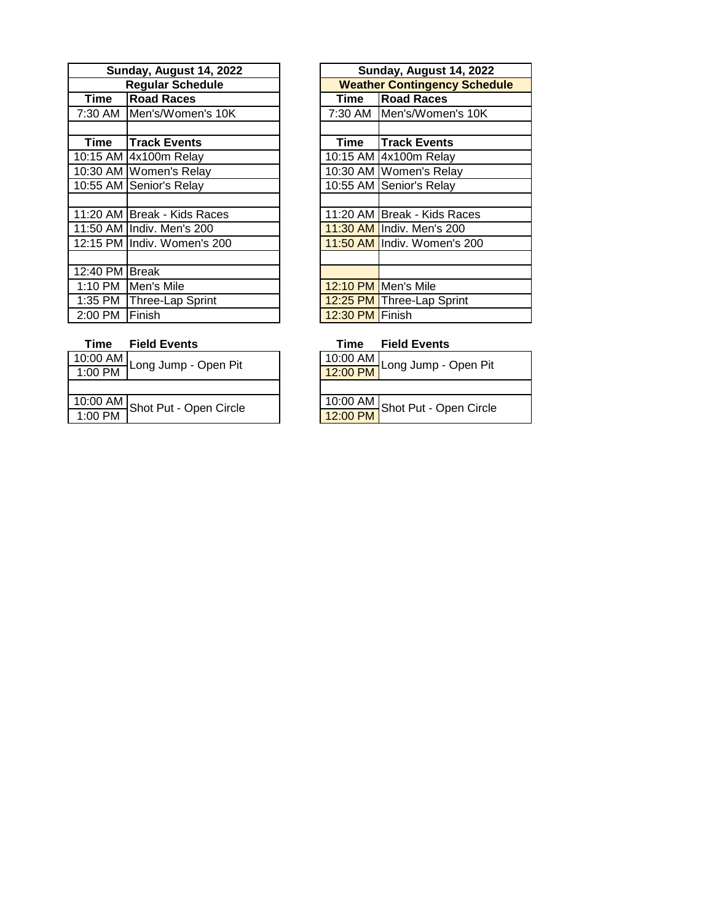| Sunday, August 14, 2022 |                             |                 | Sunday, August 14, 202          |
|-------------------------|-----------------------------|-----------------|---------------------------------|
| <b>Regular Schedule</b> |                             |                 | <b>Weather Contingency Sche</b> |
| Time                    | <b>Road Races</b>           | Time            | <b>Road Races</b>               |
| 7:30 AM                 | Men's/Women's 10K           | 7:30 AM         | Men's/Women's 10K               |
|                         |                             |                 |                                 |
| Time                    | <b>Track Events</b>         | Time            | <b>Track Events</b>             |
|                         | 10:15 AM 4x100m Relay       |                 | 10:15 AM 4x100m Relay           |
|                         | 10:30 AM Women's Relay      |                 | 10:30 AM Women's Relay          |
|                         | 10:55 AM Senior's Relay     |                 | 10:55 AM Senior's Relay         |
|                         |                             |                 |                                 |
|                         | 11:20 AM Break - Kids Races |                 | 11:20 AM Break - Kids Races     |
|                         | 11:50 AM IIndiv. Men's 200  |                 | 11:30 AM Indiv. Men's 200       |
|                         | 12:15 PM Indiv. Women's 200 |                 | 11:50 AM Indiv. Women's 200     |
|                         |                             |                 |                                 |
| 12:40 PM Break          |                             |                 |                                 |
| 1:10 PM                 | Men's Mile                  |                 | 12:10 PM Men's Mile             |
|                         | 1:35 PM   Three-Lap Sprint  |                 | 12:25 PM Three-Lap Sprint       |
| 2:00 PM                 | <b>Finish</b>               | 12:30 PM Finish |                                 |

| <b>day, August 14, 2022</b> |  | Sunday, August 14, 2022             |                             |  |
|-----------------------------|--|-------------------------------------|-----------------------------|--|
| <b>Regular Schedule</b>     |  | <b>Weather Contingency Schedule</b> |                             |  |
| <b>Road Races</b>           |  | Time                                | <b>Road Races</b>           |  |
| Men's/Women's 10K           |  |                                     | 7:30 AM Men's/Women's 10K   |  |
|                             |  |                                     |                             |  |
| <b>Track Events</b>         |  | Time                                | <b>Track Events</b>         |  |
| 4x100m Relay                |  |                                     | 10:15 AM 4x100m Relay       |  |
| Women's Relay               |  |                                     | 10:30 AM Women's Relay      |  |
| Senior's Relay              |  |                                     | 10:55 AM Senior's Relay     |  |
|                             |  |                                     |                             |  |
| <b>Break - Kids Races</b>   |  |                                     | 11:20 AM Break - Kids Races |  |
| Indiv. Men's 200            |  |                                     | 11:30 AM Indiv. Men's 200   |  |
| Indiv. Women's 200          |  |                                     | 11:50 AM Indiv. Women's 200 |  |
|                             |  |                                     |                             |  |
| <b>Break</b>                |  |                                     |                             |  |
| Men's Mile                  |  |                                     | 12:10 PM Men's Mile         |  |
| Three-Lap Sprint            |  |                                     | 12:25 PM Three-Lap Sprint   |  |
| Finish                      |  | 12:30 PM Finish                     |                             |  |

| 10:00 AM | Long Jump - Open Pit   | 10:00 AM |
|----------|------------------------|----------|
| 1:00 PM  |                        | 12:00 PM |
|          |                        |          |
| 10:00 AM | Shot Put - Open Circle | 10:00 AM |
| 1:00 PM  |                        | 12:00 PM |

### **Time Field Events Time Field Events**

| 10:00 AM<br>12:00 PM Long Jump - Open Pit      |  |  |  |
|------------------------------------------------|--|--|--|
|                                                |  |  |  |
| 10:00 AM<br>12:00 PM<br>Shot Put - Open Circle |  |  |  |
|                                                |  |  |  |